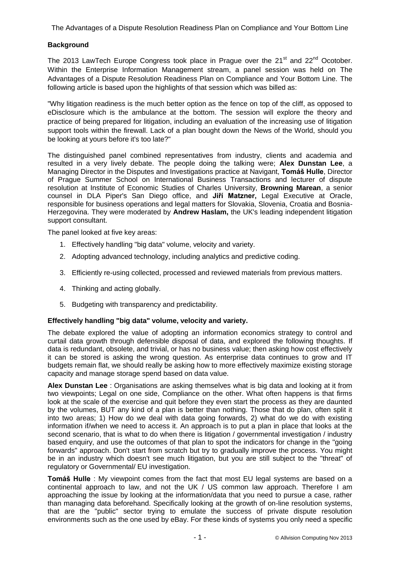# **Background**

The 2013 LawTech Europe Congress took place in Prague over the  $21<sup>st</sup>$  and  $22<sup>nd</sup>$  Ocotober. Within the Enterprise Information Management stream, a panel session was held on The Advantages of a Dispute Resolution Readiness Plan on Compliance and Your Bottom Line. The following article is based upon the highlights of that session which was billed as:

"Why litigation readiness is the much better option as the fence on top of the cliff, as opposed to eDisclosure which is the ambulance at the bottom. The session will explore the theory and practice of being prepared for litigation, including an evaluation of the increasing use of litigation support tools within the firewall. Lack of a plan bought down the News of the World, should you be looking at yours before it's too late?"

The distinguished panel combined representatives from industry, clients and academia and resulted in a very lively debate. The people doing the talking were; **Alex Dunstan Lee**, a Managing Director in the Disputes and Investigations practice at Navigant, **Tomáš Hulle**, Director of Prague Summer School on International Business Transactions and lecturer of dispute resolution at Institute of Economic Studies of Charles University, **Browning Marean**, a senior counsel in DLA Piper's San Diego office, and **Jiří Matzner,** Legal Executive at Oracle, responsible for business operations and legal matters for Slovakia, Slovenia, Croatia and Bosnia-Herzegovina. They were moderated by **Andrew Haslam,** the UK's leading independent litigation support consultant.

The panel looked at five key areas:

- 1. Effectively handling "big data" volume, velocity and variety.
- 2. Adopting advanced technology, including analytics and predictive coding.
- 3. Efficiently re-using collected, processed and reviewed materials from previous matters.
- 4. Thinking and acting globally.
- 5. Budgeting with transparency and predictability.

## **Effectively handling "big data" volume, velocity and variety.**

The debate explored the value of adopting an information economics strategy to control and curtail data growth through defensible disposal of data, and explored the following thoughts. If data is redundant, obsolete, and trivial, or has no business value; then asking how cost effectively it can be stored is asking the wrong question. As enterprise data continues to grow and IT budgets remain flat, we should really be asking how to more effectively maximize existing storage capacity and manage storage spend based on data value.

**Alex Dunstan Lee** : Organisations are asking themselves what is big data and looking at it from two viewpoints; Legal on one side, Compliance on the other. What often happens is that firms look at the scale of the exercise and quit before they even start the process as they are daunted by the volumes, BUT any kind of a plan is better than nothing. Those that do plan, often split it into two areas; 1) How do we deal with data going forwards, 2) what do we do with existing information if/when we need to access it. An approach is to put a plan in place that looks at the second scenario, that is what to do when there is litigation / governmental investigation / industry based enquiry, and use the outcomes of that plan to spot the indicators for change in the "going forwards" approach. Don't start from scratch but try to gradually improve the process. You might be in an industry which doesn't see much litigation, but you are still subject to the "threat" of regulatory or Governmental/ EU investigation.

**Tomáš Hulle** : My viewpoint comes from the fact that most EU legal systems are based on a continental approach to law, and not the UK / US common law approach. Therefore I am approaching the issue by looking at the information/data that you need to pursue a case, rather than managing data beforehand. Specifically looking at the growth of on-line resolution systems, that are the "public" sector trying to emulate the success of private dispute resolution environments such as the one used by eBay. For these kinds of systems you only need a specific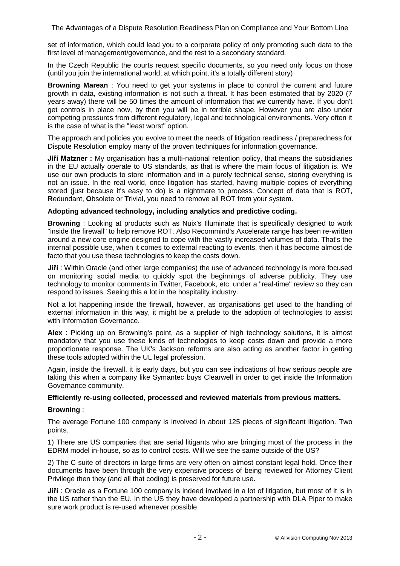set of information, which could lead you to a corporate policy of only promoting such data to the first level of management/governance, and the rest to a secondary standard.

In the Czech Republic the courts request specific documents, so you need only focus on those (until you join the international world, at which point, it's a totally different story)

**Browning Marean** : You need to get your systems in place to control the current and future growth in data, existing information is not such a threat. It has been estimated that by 2020 (7 years away) there will be 50 times the amount of information that we currently have. If you don't get controls in place now, by then you will be in terrible shape. However you are also under competing pressures from different regulatory, legal and technological environments. Very often it is the case of what is the "least worst" option.

The approach and policies you evolve to meet the needs of litigation readiness / preparedness for Dispute Resolution employ many of the proven techniques for information governance.

**Jiří Matzner :** My organisation has a multi-national retention policy, that means the subsidiaries in the EU actually operate to US standards, as that is where the main focus of litigation is. We use our own products to store information and in a purely technical sense, storing everything is not an issue. In the real world, once litigation has started, having multiple copies of everything stored (just because it's easy to do) is a nightmare to process. Concept of data that is ROT, **R**edundant, **O**bsolete or **T**rivial, you need to remove all ROT from your system.

## **Adopting advanced technology, including analytics and predictive coding.**

**Browning** : Looking at products such as Nuix's Illuminate that is specifically designed to work "inside the firewall" to help remove ROT. Also Recommind's Axcelerate range has been re-written around a new core engine designed to cope with the vastly increased volumes of data. That's the internal possible use, when it comes to external reacting to events, then it has become almost de facto that you use these technologies to keep the costs down.

**Jiří** : Within Oracle (and other large companies) the use of advanced technology is more focused on monitoring social media to quickly spot the beginnings of adverse publicity. They use technology to monitor comments in Twitter, Facebook, etc. under a "real-time" review so they can respond to issues. Seeing this a lot in the hospitality industry.

Not a lot happening inside the firewall, however, as organisations get used to the handling of external information in this way, it might be a prelude to the adoption of technologies to assist with Information Governance.

**Alex** : Picking up on Browning's point, as a supplier of high technology solutions, it is almost mandatory that you use these kinds of technologies to keep costs down and provide a more proportionate response. The UK's Jackson reforms are also acting as another factor in getting these tools adopted within the UL legal profession.

Again, inside the firewall, it is early days, but you can see indications of how serious people are taking this when a company like Symantec buys Clearwell in order to get inside the Information Governance community.

## **Efficiently re-using collected, processed and reviewed materials from previous matters.**

### **Browning** :

The average Fortune 100 company is involved in about 125 pieces of significant litigation. Two points.

1) There are US companies that are serial litigants who are bringing most of the process in the EDRM model in-house, so as to control costs. Will we see the same outside of the US?

2) The C suite of directors in large firms are very often on almost constant legal hold. Once their documents have been through the very expensive process of being reviewed for Attorney Client Privilege then they (and all that coding) is preserved for future use.

**Jiří** : Oracle as a Fortune 100 company is indeed involved in a lot of litigation, but most of it is in the US rather than the EU. In the US they have developed a partnership with DLA Piper to make sure work product is re-used whenever possible.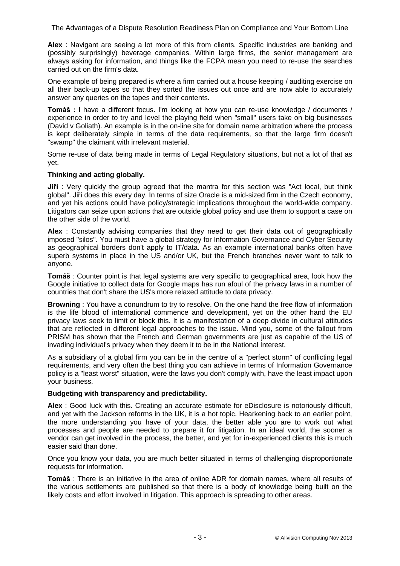**Alex** : Navigant are seeing a lot more of this from clients. Specific industries are banking and (possibly surprisingly) beverage companies. Within large firms, the senior management are always asking for information, and things like the FCPA mean you need to re-use the searches carried out on the firm's data.

One example of being prepared is where a firm carried out a house keeping / auditing exercise on all their back-up tapes so that they sorted the issues out once and are now able to accurately answer any queries on the tapes and their contents.

**Tomáš :** I have a different focus. I'm looking at how you can re-use knowledge / documents / experience in order to try and level the playing field when "small" users take on big businesses (David v Goliath). An example is in the on-line site for domain name arbitration where the process is kept deliberately simple in terms of the data requirements, so that the large firm doesn't "swamp" the claimant with irrelevant material.

Some re-use of data being made in terms of Legal Regulatory situations, but not a lot of that as yet.

## **Thinking and acting globally.**

**Jiří** : Very quickly the group agreed that the mantra for this section was "Act local, but think global". Jiří does this every day. In terms of size Oracle is a mid-sized firm in the Czech economy, and yet his actions could have policy/strategic implications throughout the world-wide company. Litigators can seize upon actions that are outside global policy and use them to support a case on the other side of the world.

**Alex** : Constantly advising companies that they need to get their data out of geographically imposed "silos". You must have a global strategy for Information Governance and Cyber Security as geographical borders don't apply to IT/data. As an example international banks often have superb systems in place in the US and/or UK, but the French branches never want to talk to anyone.

**Tomáš** : Counter point is that legal systems are very specific to geographical area, look how the Google initiative to collect data for Google maps has run afoul of the privacy laws in a number of countries that don't share the US's more relaxed attitude to data privacy.

**Browning** : You have a conundrum to try to resolve. On the one hand the free flow of information is the life blood of international commence and development, yet on the other hand the EU privacy laws seek to limit or block this. It is a manifestation of a deep divide in cultural attitudes that are reflected in different legal approaches to the issue. Mind you, some of the fallout from PRISM has shown that the French and German governments are just as capable of the US of invading individual's privacy when they deem it to be in the National Interest.

As a subsidiary of a global firm you can be in the centre of a "perfect storm" of conflicting legal requirements, and very often the best thing you can achieve in terms of Information Governance policy is a "least worst" situation, were the laws you don't comply with, have the least impact upon your business.

## **Budgeting with transparency and predictability.**

**Alex** : Good luck with this. Creating an accurate estimate for eDisclosure is notoriously difficult, and yet with the Jackson reforms in the UK, it is a hot topic. Hearkening back to an earlier point, the more understanding you have of your data, the better able you are to work out what processes and people are needed to prepare it for litigation. In an ideal world, the sooner a vendor can get involved in the process, the better, and yet for in-experienced clients this is much easier said than done.

Once you know your data, you are much better situated in terms of challenging disproportionate requests for information.

**Tomáš** : There is an initiative in the area of online ADR for domain names, where all results of the various settlements are published so that there is a body of knowledge being built on the likely costs and effort involved in litigation. This approach is spreading to other areas.